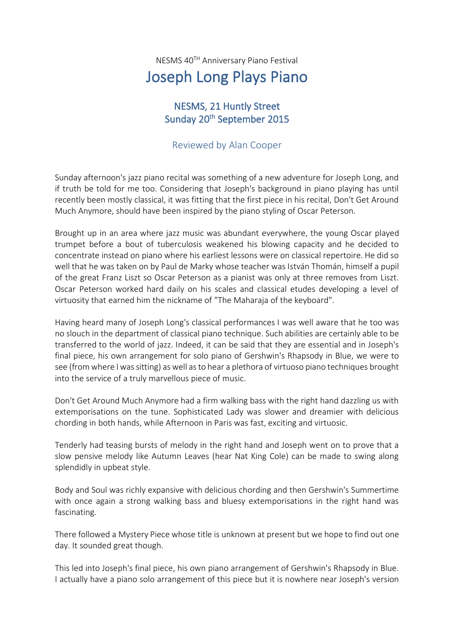NESMS 40TH Anniversary Piano Festival

## Joseph Long Plays Piano

## NESMS, 21 Huntly Street Sunday 20<sup>th</sup> September 2015

## Reviewed by Alan Cooper

Sunday afternoon's jazz piano recital was something of a new adventure for Joseph Long, and if truth be told for me too. Considering that Joseph's background in piano playing has until recently been mostly classical, it was fitting that the first piece in his recital, Don't Get Around Much Anymore, should have been inspired by the piano styling of Oscar Peterson.

Brought up in an area where jazz music was abundant everywhere, the young Oscar played trumpet before a bout of tuberculosis weakened his blowing capacity and he decided to concentrate instead on piano where his earliest lessons were on classical repertoire. He did so well that he was taken on by Paul de Marky whose teacher was István Thomán, himself a pupil of the great Franz Liszt so Oscar Peterson as a pianist was only at three removes from Liszt. Oscar Peterson worked hard daily on his scales and classical etudes developing a level of virtuosity that earned him the nickname of "The Maharaja of the keyboard".

Having heard many of Joseph Long's classical performances I was well aware that he too was no slouch in the department of classical piano technique. Such abilities are certainly able to be transferred to the world of jazz. Indeed, it can be said that they are essential and in Joseph's final piece, his own arrangement for solo piano of Gershwin's Rhapsody in Blue, we were to see (from where I was sitting) as well as to hear a plethora of virtuoso piano techniques brought into the service of a truly marvellous piece of music.

Don't Get Around Much Anymore had a firm walking bass with the right hand dazzling us with extemporisations on the tune. Sophisticated Lady was slower and dreamier with delicious chording in both hands, while Afternoon in Paris was fast, exciting and virtuosic.

Tenderly had teasing bursts of melody in the right hand and Joseph went on to prove that a slow pensive melody like Autumn Leaves (hear Nat King Cole) can be made to swing along splendidly in upbeat style.

Body and Soul was richly expansive with delicious chording and then Gershwin's Summertime with once again a strong walking bass and bluesy extemporisations in the right hand was fascinating.

There followed a Mystery Piece whose title is unknown at present but we hope to find out one day. It sounded great though.

This led into Joseph's final piece, his own piano arrangement of Gershwin's Rhapsody in Blue. I actually have a piano solo arrangement of this piece but it is nowhere near Joseph's version